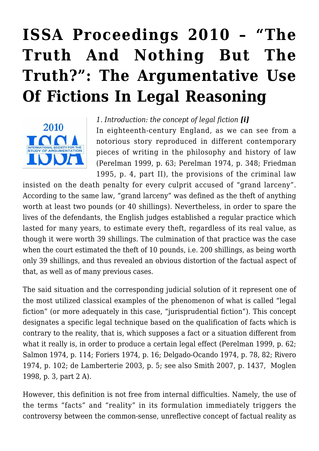# **[ISSA Proceedings 2010 – "The](https://rozenbergquarterly.com/issa-proceedings-2010-the-truth-and-nothing-but-the-truth-the-argumentative-use-of-fictions-i-legal-reasoning/) [Truth And Nothing But The](https://rozenbergquarterly.com/issa-proceedings-2010-the-truth-and-nothing-but-the-truth-the-argumentative-use-of-fictions-i-legal-reasoning/) [Truth?": The Argumentative Use](https://rozenbergquarterly.com/issa-proceedings-2010-the-truth-and-nothing-but-the-truth-the-argumentative-use-of-fictions-i-legal-reasoning/) [Of Fictions In Legal Reasoning](https://rozenbergquarterly.com/issa-proceedings-2010-the-truth-and-nothing-but-the-truth-the-argumentative-use-of-fictions-i-legal-reasoning/)**



*1. Introduction: the concept of legal fiction [i]* In eighteenth-century England, as we can see from a notorious story reproduced in different contemporary pieces of writing in the philosophy and history of law (Perelman 1999, p. 63; Perelman 1974, p. 348; Friedman 1995, p. 4, part II), the provisions of the criminal law

insisted on the death penalty for every culprit accused of "grand larceny". According to the same law, "grand larceny" was defined as the theft of anything worth at least two pounds (or 40 shillings). Nevertheless, in order to spare the lives of the defendants, the English judges established a regular practice which lasted for many years, to estimate every theft, regardless of its real value, as though it were worth 39 shillings. The culmination of that practice was the case when the court estimated the theft of 10 pounds, i.e. 200 shillings, as being worth only 39 shillings, and thus revealed an obvious distortion of the factual aspect of that, as well as of many previous cases.

The said situation and the corresponding judicial solution of it represent one of the most utilized classical examples of the phenomenon of what is called "legal fiction" (or more adequately in this case, "jurisprudential fiction"). This concept designates a specific legal technique based on the qualification of facts which is contrary to the reality, that is, which supposes a fact or a situation different from what it really is, in order to produce a certain legal effect (Perelman 1999, p. 62; Salmon 1974, p. 114; Foriers 1974, p. 16; Delgado-Ocando 1974, p. 78, 82; Rivero 1974, p. 102; de Lamberterie 2003, p. 5; see also Smith 2007, p. 1437, Moglen 1998, p. 3, part 2 A).

However, this definition is not free from internal difficulties. Namely, the use of the terms "facts" and "reality" in its formulation immediately triggers the controversy between the common-sense, unreflective concept of factual reality as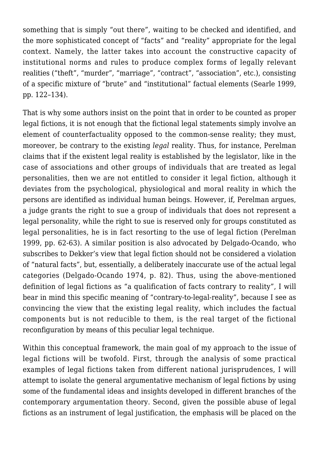something that is simply "out there", waiting to be checked and identified, and the more sophisticated concept of "facts" and "reality" appropriate for the legal context. Namely, the latter takes into account the constructive capacity of institutional norms and rules to produce complex forms of legally relevant realities ("theft", "murder", "marriage", "contract", "association", etc.), consisting of a specific mixture of "brute" and "institutional" factual elements (Searle 1999, pp. 122–134).

That is why some authors insist on the point that in order to be counted as proper legal fictions, it is not enough that the fictional legal statements simply involve an element of counterfactuality opposed to the common-sense reality; they must, moreover, be contrary to the existing *legal* reality. Thus, for instance, Perelman claims that if the existent legal reality is established by the legislator, like in the case of associations and other groups of individuals that are treated as legal personalities, then we are not entitled to consider it legal fiction, although it deviates from the psychological, physiological and moral reality in which the persons are identified as individual human beings. However, if, Perelman argues, a judge grants the right to sue a group of individuals that does not represent a legal personality, while the right to sue is reserved only for groups constituted as legal personalities, he is in fact resorting to the use of legal fiction (Perelman 1999, pp. 62-63). A similar position is also advocated by Delgado-Ocando, who subscribes to Dekker's view that legal fiction should not be considered a violation of "natural facts", but, essentially, a deliberately inaccurate use of the actual legal categories (Delgado-Ocando 1974, p. 82). Thus, using the above-mentioned definition of legal fictions as "a qualification of facts contrary to reality", I will bear in mind this specific meaning of "contrary-to-legal-reality", because I see as convincing the view that the existing legal reality, which includes the factual components but is not reducible to them, is the real target of the fictional reconfiguration by means of this peculiar legal technique.

Within this conceptual framework, the main goal of my approach to the issue of legal fictions will be twofold. First, through the analysis of some practical examples of legal fictions taken from different national jurisprudences, I will attempt to isolate the general argumentative mechanism of legal fictions by using some of the fundamental ideas and insights developed in different branches of the contemporary argumentation theory. Second, given the possible abuse of legal fictions as an instrument of legal justification, the emphasis will be placed on the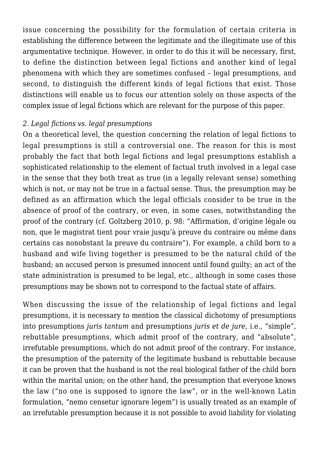issue concerning the possibility for the formulation of certain criteria in establishing the difference between the legitimate and the illegitimate use of this argumentative technique. However, in order to do this it will be necessary, first, to define the distinction between legal fictions and another kind of legal phenomena with which they are sometimes confused – legal presumptions, and second, to distinguish the different kinds of legal fictions that exist. Those distinctions will enable us to focus our attention solely on those aspects of the complex issue of legal fictions which are relevant for the purpose of this paper.

#### *2. Legal fictions vs. legal presumptions*

On a theoretical level, the question concerning the relation of legal fictions to legal presumptions is still a controversial one. The reason for this is most probably the fact that both legal fictions and legal presumptions establish a sophisticated relationship to the element of factual truth involved in a legal case in the sense that they both treat as true (in a legally relevant sense) something which is not, or may not be true in a factual sense. Thus, the presumption may be defined as an affirmation which the legal officials consider to be true in the absence of proof of the contrary, or even, in some cases, notwithstanding the proof of the contrary (cf. Goltzberg 2010, p. 98: "Affirmation, d'origine légale ou non, que le magistrat tient pour vraie jusqu'à preuve du contraire ou même dans certains cas nonobstant la preuve du contraire"). For example, a child born to a husband and wife living together is presumed to be the natural child of the husband; an accused person is presumed innocent until found guilty; an act of the state administration is presumed to be legal, etc., although in some cases those presumptions may be shown not to correspond to the factual state of affairs.

When discussing the issue of the relationship of legal fictions and legal presumptions, it is necessary to mention the classical dichotomy of presumptions into presumptions *juris tantum* and presumptions *juris et de jure*, i.e., "simple", rebuttable presumptions, which admit proof of the contrary, and "absolute", irrefutable presumptions, which do not admit proof of the contrary. For instance, the presumption of the paternity of the legitimate husband is rebuttable because it can be proven that the husband is not the real biological father of the child born within the marital union; on the other hand, the presumption that everyone knows the law ("no one is supposed to ignore the law", or in the well-known Latin formulation, "nemo censetur ignorare legem") is usually treated as an example of an irrefutable presumption because it is not possible to avoid liability for violating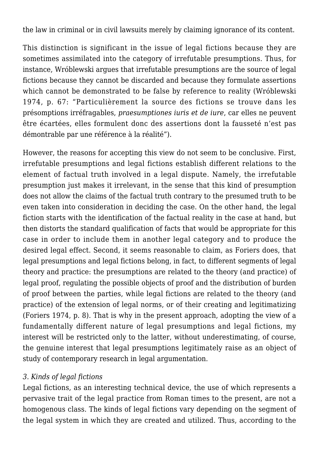the law in criminal or in civil lawsuits merely by claiming ignorance of its content.

This distinction is significant in the issue of legal fictions because they are sometimes assimilated into the category of irrefutable presumptions. Thus, for instance, Wróblewski argues that irrefutable presumptions are the source of legal fictions because they cannot be discarded and because they formulate assertions which cannot be demonstrated to be false by reference to reality (Wróblewski 1974, p. 67: "Particulièrement la source des fictions se trouve dans les présomptions irréfragables, *praesumptiones iuris et de iure*, car elles ne peuvent être écartées, elles formulent donc des assertions dont la fausseté n'est pas démontrable par une référence à la réalité").

However, the reasons for accepting this view do not seem to be conclusive. First, irrefutable presumptions and legal fictions establish different relations to the element of factual truth involved in a legal dispute. Namely, the irrefutable presumption just makes it irrelevant, in the sense that this kind of presumption does not allow the claims of the factual truth contrary to the presumed truth to be even taken into consideration in deciding the case. On the other hand, the legal fiction starts with the identification of the factual reality in the case at hand, but then distorts the standard qualification of facts that would be appropriate for this case in order to include them in another legal category and to produce the desired legal effect. Second, it seems reasonable to claim, as Foriers does, that legal presumptions and legal fictions belong, in fact, to different segments of legal theory and practice: the presumptions are related to the theory (and practice) of legal proof, regulating the possible objects of proof and the distribution of burden of proof between the parties, while legal fictions are related to the theory (and practice) of the extension of legal norms, or of their creating and legitimatizing (Foriers 1974, p. 8). That is why in the present approach, adopting the view of a fundamentally different nature of legal presumptions and legal fictions, my interest will be restricted only to the latter, without underestimating, of course, the genuine interest that legal presumptions legitimately raise as an object of study of contemporary research in legal argumentation.

#### *3. Kinds of legal fictions*

Legal fictions, as an interesting technical device, the use of which represents a pervasive trait of the legal practice from Roman times to the present, are not a homogenous class. The kinds of legal fictions vary depending on the segment of the legal system in which they are created and utilized. Thus, according to the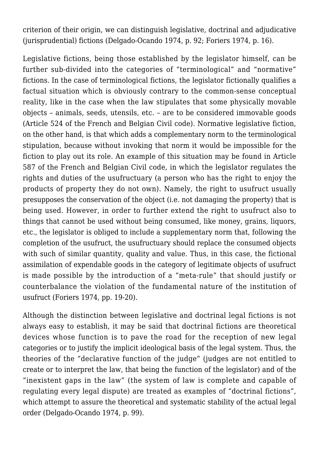criterion of their origin, we can distinguish legislative, doctrinal and adjudicative (jurisprudential) fictions (Delgado-Ocando 1974, p. 92; Foriers 1974, p. 16).

Legislative fictions, being those established by the legislator himself, can be further sub-divided into the categories of "terminological" and "normative" fictions. In the case of terminological fictions, the legislator fictionally qualifies a factual situation which is obviously contrary to the common-sense conceptual reality, like in the case when the law stipulates that some physically movable objects – animals, seeds, utensils, etc. – are to be considered immovable goods (Article 524 of the French and Belgian Civil code). Normative legislative fiction, on the other hand, is that which adds a complementary norm to the terminological stipulation, because without invoking that norm it would be impossible for the fiction to play out its role. An example of this situation may be found in Article 587 of the French and Belgian Civil code, in which the legislator regulates the rights and duties of the usufructuary (a person who has the right to enjoy the products of property they do not own). Namely, the right to usufruct usually presupposes the conservation of the object (i.e. not damaging the property) that is being used. However, in order to further extend the right to usufruct also to things that cannot be used without being consumed, like money, grains, liquors, etc., the legislator is obliged to include a supplementary norm that, following the completion of the usufruct, the usufructuary should replace the consumed objects with such of similar quantity, quality and value. Thus, in this case, the fictional assimilation of expendable goods in the category of legitimate objects of usufruct is made possible by the introduction of a "meta-rule" that should justify or counterbalance the violation of the fundamental nature of the institution of usufruct (Foriers 1974, pp. 19-20).

Although the distinction between legislative and doctrinal legal fictions is not always easy to establish, it may be said that doctrinal fictions are theoretical devices whose function is to pave the road for the reception of new legal categories or to justify the implicit ideological basis of the legal system. Thus, the theories of the "declarative function of the judge" (judges are not entitled to create or to interpret the law, that being the function of the legislator) and of the "inexistent gaps in the law" (the system of law is complete and capable of regulating every legal dispute) are treated as examples of "doctrinal fictions", which attempt to assure the theoretical and systematic stability of the actual legal order (Delgado-Ocando 1974, p. 99).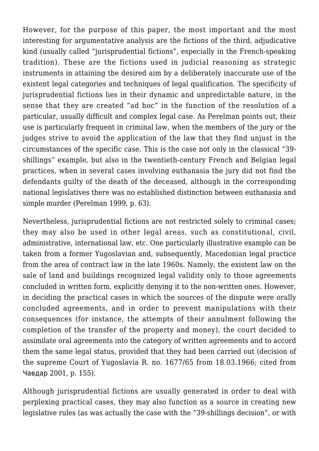However, for the purpose of this paper, the most important and the most interesting for argumentative analysis are the fictions of the third, adjudicative kind (usually called "jurisprudential fictions", especially in the French-speaking tradition). These are the fictions used in judicial reasoning as strategic instruments in attaining the desired aim by a deliberately inaccurate use of the existent legal categories and techniques of legal qualification. The specificity of jurisprudential fictions lies in their dynamic and unpredictable nature, in the sense that they are created "ad hoc" in the function of the resolution of a particular, usually difficult and complex legal case. As Perelman points out, their use is particularly frequent in criminal law, when the members of the jury or the judges strive to avoid the application of the law that they find unjust in the circumstances of the specific case. This is the case not only in the classical "39 shillings" example, but also in the twentieth-century French and Belgian legal practices, when in several cases involving euthanasia the jury did not find the defendants guilty of the death of the deceased, although in the corresponding national legislatives there was no established distinction between euthanasia and simple murder (Perelman 1999, p. 63).

Nevertheless, jurisprudential fictions are not restricted solely to criminal cases; they may also be used in other legal areas, such as constitutional, civil, administrative, international law, etc. One particularly illustrative example can be taken from a former Yugoslavian and, subsequently, Macedonian legal practice from the area of contract law in the late 1960s. Namely, the existent law on the sale of land and buildings recognized legal validity only to those agreements concluded in written form, explicitly denying it to the non-written ones. However, in deciding the practical cases in which the sources of the dispute were orally concluded agreements, and in order to prevent manipulations with their consequences (for instance, the attempts of their annulment following the completion of the transfer of the property and money), the court decided to assimilate oral agreements into the category of written agreements and to accord them the same legal status, provided that they had been carried out (decision of the supreme Court of Yugoslavia R. no. 1677/65 from 18.03.1966; cited from Чавдар 2001, p. 155).

Although jurisprudential fictions are usually generated in order to deal with perplexing practical cases, they may also function as a source in creating new legislative rules (as was actually the case with the "39-shillings decision", or with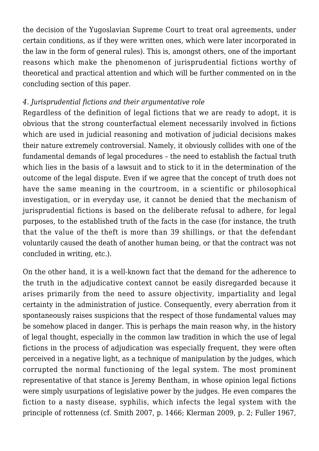the decision of the Yugoslavian Supreme Court to treat oral agreements, under certain conditions, as if they were written ones, which were later incorporated in the law in the form of general rules). This is, amongst others, one of the important reasons which make the phenomenon of jurisprudential fictions worthy of theoretical and practical attention and which will be further commented on in the concluding section of this paper.

#### *4. Jurisprudential fictions and their argumentative role*

Regardless of the definition of legal fictions that we are ready to adopt, it is obvious that the strong counterfactual element necessarily involved in fictions which are used in judicial reasoning and motivation of judicial decisions makes their nature extremely controversial. Namely, it obviously collides with one of the fundamental demands of legal procedures – the need to establish the factual truth which lies in the basis of a lawsuit and to stick to it in the determination of the outcome of the legal dispute. Even if we agree that the concept of truth does not have the same meaning in the courtroom, in a scientific or philosophical investigation, or in everyday use, it cannot be denied that the mechanism of jurisprudential fictions is based on the deliberate refusal to adhere, for legal purposes, to the established truth of the facts in the case (for instance, the truth that the value of the theft is more than 39 shillings, or that the defendant voluntarily caused the death of another human being, or that the contract was not concluded in writing, etc.).

On the other hand, it is a well-known fact that the demand for the adherence to the truth in the adjudicative context cannot be easily disregarded because it arises primarily from the need to assure objectivity, impartiality and legal certainty in the administration of justice. Consequently, every aberration from it spontaneously raises suspicions that the respect of those fundamental values may be somehow placed in danger. This is perhaps the main reason why, in the history of legal thought, especially in the common law tradition in which the use of legal fictions in the process of adjudication was especially frequent, they were often perceived in a negative light, as a technique of manipulation by the judges, which corrupted the normal functioning of the legal system. The most prominent representative of that stance is Jeremy Bentham, in whose opinion legal fictions were simply usurpations of legislative power by the judges. He even compares the fiction to a nasty disease, syphilis, which infects the legal system with the principle of rottenness (cf. Smith 2007, p. 1466; Klerman 2009, p. 2; Fuller 1967,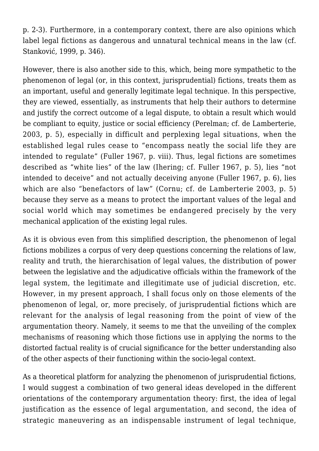p. 2-3)*.* Furthermore, in a contemporary context, there are also opinions which label legal fictions as dangerous and unnatural technical means in the law (cf. Stanković, 1999, p. 346).

However, there is also another side to this, which, being more sympathetic to the phenomenon of legal (or, in this context, jurisprudential) fictions, treats them as an important, useful and generally legitimate legal technique. In this perspective, they are viewed, essentially, as instruments that help their authors to determine and justify the correct outcome of a legal dispute, to obtain a result which would be compliant to equity, justice or social efficiency (Perelman; cf. de Lamberterie, 2003, p. 5), especially in difficult and perplexing legal situations, when the established legal rules cease to "encompass neatly the social life they are intended to regulate" (Fuller 1967, p. viii). Thus, legal fictions are sometimes described as "white lies" of the law (Ihering; cf. Fuller 1967, p. 5), lies "not intended to deceive" and not actually deceiving anyone (Fuller 1967, p. 6), lies which are also "benefactors of law" (Cornu; cf. de Lamberterie 2003, p. 5) because they serve as a means to protect the important values of the legal and social world which may sometimes be endangered precisely by the very mechanical application of the existing legal rules.

As it is obvious even from this simplified description, the phenomenon of legal fictions mobilizes a corpus of very deep questions concerning the relations of law, reality and truth, the hierarchisation of legal values, the distribution of power between the legislative and the adjudicative officials within the framework of the legal system, the legitimate and illegitimate use of judicial discretion, etc. However, in my present approach, I shall focus only on those elements of the phenomenon of legal, or, more precisely, of jurisprudential fictions which are relevant for the analysis of legal reasoning from the point of view of the argumentation theory. Namely, it seems to me that the unveiling of the complex mechanisms of reasoning which those fictions use in applying the norms to the distorted factual reality is of crucial significance for the better understanding also of the other aspects of their functioning within the socio-legal context.

As a theoretical platform for analyzing the phenomenon of jurisprudential fictions, I would suggest a combination of two general ideas developed in the different orientations of the contemporary argumentation theory: first, the idea of legal justification as the essence of legal argumentation, and second, the idea of strategic maneuvering as an indispensable instrument of legal technique,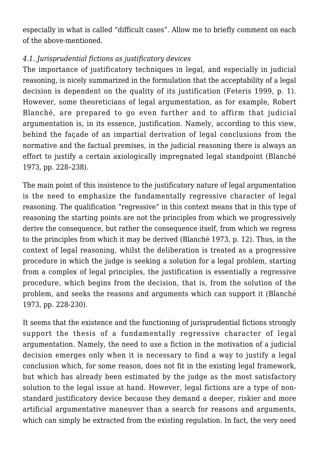especially in what is called "difficult cases". Allow me to briefly comment on each of the above-mentioned.

## *4.1. Jurisprudential fictions as justificatory devices*

The importance of justificatory techniques in legal, and especially in judicial reasoning, is nicely summarized in the formulation that the acceptability of a legal decision is dependent on the quality of its justification (Feteris 1999, p. 1). However, some theoreticians of legal argumentation, as for example, Robert Blanché, are prepared to go even further and to affirm that judicial argumentation is, in its essence, justification. Namely, according to this view, behind the façade of an impartial derivation of legal conclusions from the normative and the factual premises, in the judicial reasoning there is always an effort to justify a certain axiologically impregnated legal standpoint (Blanché 1973, pp. 228–238).

The main point of this insistence to the justificatory nature of legal argumentation is the need to emphasize the fundamentally regressive character of legal reasoning. The qualification "regressive" in this context means that in this type of reasoning the starting points are not the principles from which we progressively derive the consequence, but rather the consequence itself, from which we regress to the principles from which it may be derived (Blanché 1973, p. 12). Thus, in the context of legal reasoning, whilst the deliberation is treated as a progressive procedure in which the judge is seeking a solution for a legal problem, starting from a complex of legal principles, the justification is essentially a regressive procedure, which begins from the decision, that is, from the solution of the problem, and seeks the reasons and arguments which can support it (Blanché 1973, pp. 228-230).

It seems that the existence and the functioning of jurisprudential fictions strongly support the thesis of a fundamentally regressive character of legal argumentation. Namely, the need to use a fiction in the motivation of a judicial decision emerges only when it is necessary to find a way to justify a legal conclusion which, for some reason, does not fit in the existing legal framework, but which has already been estimated by the judge as the most satisfactory solution to the legal issue at hand. However, legal fictions are a type of nonstandard justificatory device because they demand a deeper, riskier and more artificial argumentative maneuver than a search for reasons and arguments, which can simply be extracted from the existing regulation. In fact, the very need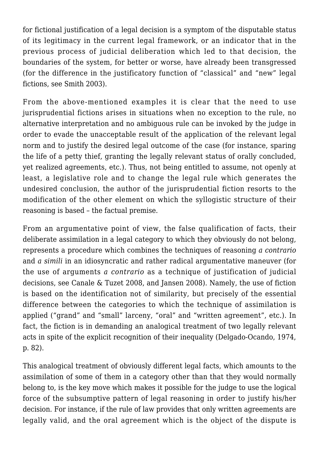for fictional justification of a legal decision is a symptom of the disputable status of its legitimacy in the current legal framework, or an indicator that in the previous process of judicial deliberation which led to that decision, the boundaries of the system, for better or worse, have already been transgressed (for the difference in the justificatory function of "classical" and "new" legal fictions, see Smith 2003).

From the above-mentioned examples it is clear that the need to use jurisprudential fictions arises in situations when no exception to the rule, no alternative interpretation and no ambiguous rule can be invoked by the judge in order to evade the unacceptable result of the application of the relevant legal norm and to justify the desired legal outcome of the case (for instance, sparing the life of a petty thief, granting the legally relevant status of orally concluded, yet realized agreements, etc.). Thus, not being entitled to assume, not openly at least, a legislative role and to change the legal rule which generates the undesired conclusion, the author of the jurisprudential fiction resorts to the modification of the other element on which the syllogistic structure of their reasoning is based – the factual premise.

From an argumentative point of view, the false qualification of facts, their deliberate assimilation in a legal category to which they obviously do not belong, represents a procedure which combines the techniques of reasoning *a contrario* and *a simili* in an idiosyncratic and rather radical argumentative maneuver (for the use of arguments *a contrario* as a technique of justification of judicial decisions, see Canale & Tuzet 2008, and Jansen 2008). Namely, the use of fiction is based on the identification not of similarity, but precisely of the essential difference between the categories to which the technique of assimilation is applied ("grand" and "small" larceny, "oral" and "written agreement", etc.). In fact, the fiction is in demanding an analogical treatment of two legally relevant acts in spite of the explicit recognition of their inequality (Delgado-Ocando, 1974, p. 82).

This analogical treatment of obviously different legal facts, which amounts to the assimilation of some of them in a category other than that they would normally belong to, is the key move which makes it possible for the judge to use the logical force of the subsumptive pattern of legal reasoning in order to justify his/her decision. For instance, if the rule of law provides that only written agreements are legally valid, and the oral agreement which is the object of the dispute is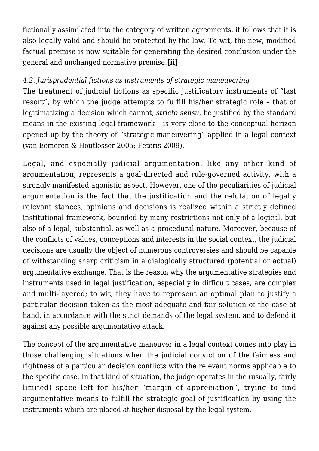fictionally assimilated into the category of written agreements, it follows that it is also legally valid and should be protected by the law. To wit, the new, modified factual premise is now suitable for generating the desired conclusion under the general and unchanged normative premise.**[ii]**

## *4.2. Jurisprudential fictions as instruments of strategic maneuvering*

The treatment of judicial fictions as specific justificatory instruments of "last resort", by which the judge attempts to fulfill his/her strategic role – that of legitimatizing a decision which cannot, *stricto sensu*, be justified by the standard means in the existing legal framework – is very close to the conceptual horizon opened up by the theory of "strategic maneuvering" applied in a legal context (van Eemeren & Houtlosser 2005; Feteris 2009).

Legal, and especially judicial argumentation, like any other kind of argumentation, represents a goal-directed and rule-governed activity, with a strongly manifested agonistic aspect. However, one of the peculiarities of judicial argumentation is the fact that the justification and the refutation of legally relevant stances, opinions and decisions is realized within a strictly defined institutional framework, bounded by many restrictions not only of a logical, but also of a legal, substantial, as well as a procedural nature. Moreover, because of the conflicts of values, conceptions and interests in the social context, the judicial decisions are usually the object of numerous controversies and should be capable of withstanding sharp criticism in a dialogically structured (potential or actual) argumentative exchange. That is the reason why the argumentative strategies and instruments used in legal justification, especially in difficult cases, are complex and multi-layered; to wit, they have to represent an optimal plan to justify a particular decision taken as the most adequate and fair solution of the case at hand, in accordance with the strict demands of the legal system, and to defend it against any possible argumentative attack.

The concept of the argumentative maneuver in a legal context comes into play in those challenging situations when the judicial conviction of the fairness and rightness of a particular decision conflicts with the relevant norms applicable to the specific case. In that kind of situation, the judge operates in the (usually, fairly limited) space left for his/her "margin of appreciation", trying to find argumentative means to fulfill the strategic goal of justification by using the instruments which are placed at his/her disposal by the legal system.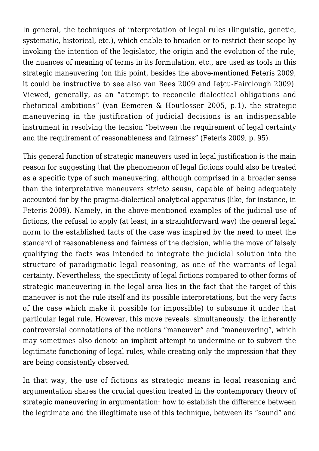In general, the techniques of interpretation of legal rules (linguistic, genetic, systematic, historical, etc.), which enable to broaden or to restrict their scope by invoking the intention of the legislator, the origin and the evolution of the rule, the nuances of meaning of terms in its formulation, etc., are used as tools in this strategic maneuvering (on this point, besides the above-mentioned Feteris 2009, it could be instructive to see also van Rees 2009 and Ieţcu-Fairclough 2009). Viewed, generally, as an "attempt to reconcile dialectical obligations and rhetorical ambitions" (van Eemeren & Houtlosser 2005, p.1), the strategic maneuvering in the justification of judicial decisions is an indispensable instrument in resolving the tension "between the requirement of legal certainty and the requirement of reasonableness and fairness" (Feteris 2009, p. 95).

This general function of strategic maneuvers used in legal justification is the main reason for suggesting that the phenomenon of legal fictions could also be treated as a specific type of such maneuvering, although comprised in a broader sense than the interpretative maneuvers *stricto sensu*, capable of being adequately accounted for by the pragma-dialectical analytical apparatus (like, for instance, in Feteris 2009). Namely, in the above-mentioned examples of the judicial use of fictions, the refusal to apply (at least, in a straightforward way) the general legal norm to the established facts of the case was inspired by the need to meet the standard of reasonableness and fairness of the decision, while the move of falsely qualifying the facts was intended to integrate the judicial solution into the structure of paradigmatic legal reasoning, as one of the warrants of legal certainty. Nevertheless, the specificity of legal fictions compared to other forms of strategic maneuvering in the legal area lies in the fact that the target of this maneuver is not the rule itself and its possible interpretations, but the very facts of the case which make it possible (or impossible) to subsume it under that particular legal rule. However, this move reveals, simultaneously, the inherently controversial connotations of the notions "maneuver" and "maneuvering", which may sometimes also denote an implicit attempt to undermine or to subvert the legitimate functioning of legal rules, while creating only the impression that they are being consistently observed.

In that way, the use of fictions as strategic means in legal reasoning and argumentation shares the crucial question treated in the contemporary theory of strategic maneuvering in argumentation: how to establish the difference between the legitimate and the illegitimate use of this technique, between its "sound" and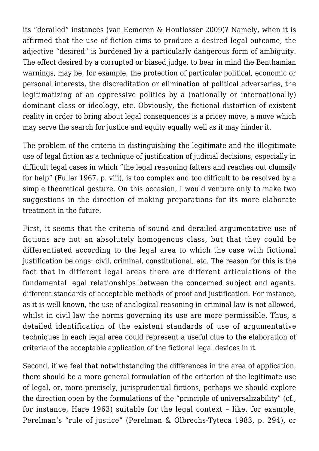its "derailed" instances (van Eemeren & Houtlosser 2009)? Namely, when it is affirmed that the use of fiction aims to produce a desired legal outcome, the adjective "desired" is burdened by a particularly dangerous form of ambiguity. The effect desired by a corrupted or biased judge, to bear in mind the Benthamian warnings, may be, for example, the protection of particular political, economic or personal interests, the discreditation or elimination of political adversaries, the legitimatizing of an oppressive politics by a (nationally or internationally) dominant class or ideology, etc. Obviously, the fictional distortion of existent reality in order to bring about legal consequences is a pricey move, a move which may serve the search for justice and equity equally well as it may hinder it.

The problem of the criteria in distinguishing the legitimate and the illegitimate use of legal fiction as a technique of justification of judicial decisions, especially in difficult legal cases in which "the legal reasoning falters and reaches out clumsily for help" (Fuller 1967, p. viii), is too complex and too difficult to be resolved by a simple theoretical gesture. On this occasion, I would venture only to make two suggestions in the direction of making preparations for its more elaborate treatment in the future.

First, it seems that the criteria of sound and derailed argumentative use of fictions are not an absolutely homogenous class, but that they could be differentiated according to the legal area to which the case with fictional justification belongs: civil, criminal, constitutional, etc. The reason for this is the fact that in different legal areas there are different articulations of the fundamental legal relationships between the concerned subject and agents, different standards of acceptable methods of proof and justification. For instance, as it is well known, the use of analogical reasoning in criminal law is not allowed, whilst in civil law the norms governing its use are more permissible. Thus, a detailed identification of the existent standards of use of argumentative techniques in each legal area could represent a useful clue to the elaboration of criteria of the acceptable application of the fictional legal devices in it.

Second, if we feel that notwithstanding the differences in the area of application, there should be a more general formulation of the criterion of the legitimate use of legal, or, more precisely, jurisprudential fictions, perhaps we should explore the direction open by the formulations of the "principle of universalizability" (cf., for instance, Hare 1963) suitable for the legal context – like, for example, Perelman's "rule of justice" (Perelman & Olbrechs-Tyteca 1983, p. 294), or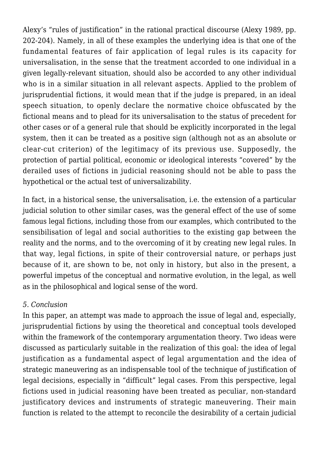Alexy's "rules of justification" in the rational practical discourse (Alexy 1989, pp. 202-204). Namely, in all of these examples the underlying idea is that one of the fundamental features of fair application of legal rules is its capacity for universalisation, in the sense that the treatment accorded to one individual in a given legally-relevant situation, should also be accorded to any other individual who is in a similar situation in all relevant aspects. Applied to the problem of jurisprudential fictions, it would mean that if the judge is prepared, in an ideal speech situation, to openly declare the normative choice obfuscated by the fictional means and to plead for its universalisation to the status of precedent for other cases or of a general rule that should be explicitly incorporated in the legal system, then it can be treated as a positive sign (although not as an absolute or clear-cut criterion) of the legitimacy of its previous use. Supposedly, the protection of partial political, economic or ideological interests "covered" by the derailed uses of fictions in judicial reasoning should not be able to pass the hypothetical or the actual test of universalizability.

In fact, in a historical sense, the universalisation, i.e. the extension of a particular judicial solution to other similar cases, was the general effect of the use of some famous legal fictions, including those from our examples, which contributed to the sensibilisation of legal and social authorities to the existing gap between the reality and the norms, and to the overcoming of it by creating new legal rules. In that way, legal fictions, in spite of their controversial nature, or perhaps just because of it, are shown to be, not only in history, but also in the present, a powerful impetus of the conceptual and normative evolution, in the legal, as well as in the philosophical and logical sense of the word.

#### *5. Conclusion*

In this paper, an attempt was made to approach the issue of legal and, especially, jurisprudential fictions by using the theoretical and conceptual tools developed within the framework of the contemporary argumentation theory. Two ideas were discussed as particularly suitable in the realization of this goal: the idea of legal justification as a fundamental aspect of legal argumentation and the idea of strategic maneuvering as an indispensable tool of the technique of justification of legal decisions, especially in "difficult" legal cases. From this perspective, legal fictions used in judicial reasoning have been treated as peculiar, non-standard justificatory devices and instruments of strategic maneuvering. Their main function is related to the attempt to reconcile the desirability of a certain judicial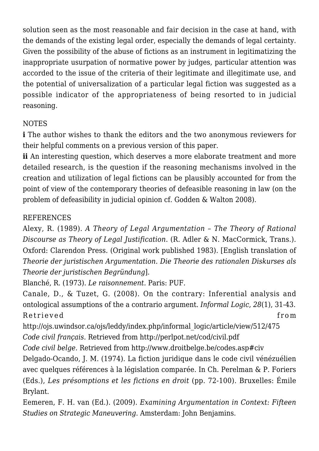solution seen as the most reasonable and fair decision in the case at hand, with the demands of the existing legal order, especially the demands of legal certainty. Given the possibility of the abuse of fictions as an instrument in legitimatizing the inappropriate usurpation of normative power by judges, particular attention was accorded to the issue of the criteria of their legitimate and illegitimate use, and the potential of universalization of a particular legal fiction was suggested as a possible indicator of the appropriateness of being resorted to in judicial reasoning.

## **NOTES**

**i** The author wishes to thank the editors and the two anonymous reviewers for their helpful comments on a previous version of this paper.

**ii** An interesting question, which deserves a more elaborate treatment and more detailed research, is the question if the reasoning mechanisms involved in the creation and utilization of legal fictions can be plausibly accounted for from the point of view of the contemporary theories of defeasible reasoning in law (on the problem of defeasibility in judicial opinion cf. Godden & Walton 2008).

## REFERENCES

Alexy, R. (1989). *A Theory of Legal Argumentation – The Theory of Rational Discourse as Theory of Legal Justification*. (R. Adler & N. MacCormick, Trans.). Oxford: Clarendon Press. (Original work published 1983). [English translation of *Theorie der juristischen Argumentation. Die Theorie des rationalen Diskurses als Theorie der juristischen Begründung*].

Blanché, R. (1973). *Le raisonnement.* Paris: PUF.

Canale, D., & Tuzet, G. (2008). On the contrary: Inferential analysis and ontological assumptions of the a contrario argument. *Informal Logic*, *28*(1), 31-43. Retrieved from

http://ojs.uwindsor.ca/ojs/leddy/index.php/informal\_logic/article/view/512/475

*Code civil français*. Retrieved from http://perlpot.net/cod/civil.pdf

*Code civil belge*. Retrieved from http://www.droitbelge.be/codes.asp#civ

Delgado-Ocando, J. M. (1974). La fiction juridique dans le code civil vénézuélien avec quelques références à la législation comparée. In Ch. Perelman & P. Foriers (Eds.), *Les présomptions et les fictions en droit* (pp. 72-100). Bruxelles: Émile Brylant.

Eemeren, F. H. van (Ed.). (2009). *Examining Argumentation in Context: Fifteen Studies on Strategic Maneuvering*. Amsterdam: John Benjamins.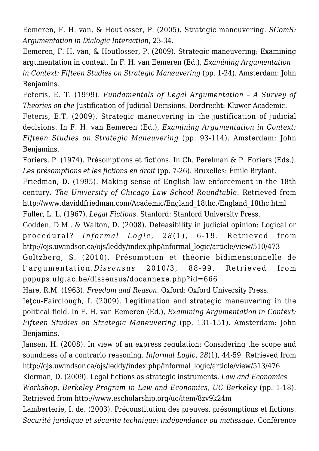Eemeren, F. H. van, & Houtlosser, P. (2005). Strategic maneuvering. *SComS: Argumentation in Dialogic Interaction*, 23-34.

Eemeren, F. H. van, & Houtlosser, P. (2009). Strategic maneuvering: Examining argumentation in context. In F. H. van Eemeren (Ed.), *Examining Argumentation in Context: Fifteen Studies on Strategic Maneuvering* (pp. 1-24). Amsterdam: John Benjamins.

Feteris, E. T. (1999). *Fundamentals of Legal Argumentation – A Survey of Theories on the* Justification of Judicial Decisions. Dordrecht: Kluwer Academic.

Feteris, E.T. (2009). Strategic maneuvering in the justification of judicial decisions. In F. H. van Eemeren (Ed.), *Examining Argumentation in Context: Fifteen Studies on Strategic Maneuvering* (pp. 93-114). Amsterdam: John Benjamins.

Foriers, P. (1974). Présomptions et fictions. In Ch. Perelman & P. Foriers (Eds.), *Les présomptions et les fictions en droit* (pp. 7-26). Bruxelles: Émile Brylant.

Friedman, D. (1995). Making sense of English law enforcement in the 18th century. *The University of Chicago Law School Roundtable*. Retrieved from http://www.daviddfriedman.com/Academic/England\_18thc./England\_18thc.html Fuller, L. L. (1967). *Legal Fictions*. Stanford: Stanford University Press.

Godden, D.M., & Walton, D. (2008). Defeasibility in judicial opinion: Logical or procedural? *Informal Logic* , *2 8* (1), 6-19. Retrieved from http://ojs.uwindsor.ca/ojs/leddy/index.php/informal\_logic/article/view/510/473

Goltzberg, S. (2010). Présomption et théorie bidimensionnelle de l'argumentation.*Dissensus* 2010/3, 88-99. Retrieved from popups.ulg.ac.be/dissensus/docannexe.php?id=666

Hare, R.M. (1963). *Freedom and Reason*. Oxford: Oxford University Press.

Ieţcu-Fairclough, I. (2009). Legitimation and strategic maneuvering in the political field. In F. H. van Eemeren (Ed.), *Examining Argumentation in Context: Fifteen Studies on Strategic Maneuvering* (pp. 131-151). Amsterdam: John Benjamins.

Jansen, H. (2008). In view of an express regulation: Considering the scope and soundness of a contrario reasoning. *Informal Logic*, *28*(1), 44-59. Retrieved from http://ojs.uwindsor.ca/ojs/leddy/index.php/informal\_logic/article/view/513/476 Klerman, D. (2009). Legal fictions as strategic instruments. *Law and Economics Workshop, Berkeley Program in Law and Economics, UC Berkeley* (pp. 1-18).

Retrieved from http://www.escholarship.org/uc/item/8zv9k24m

Lamberterie, I. de. (2003). Préconstitution des preuves, présomptions et fictions. *Sécurité juridique et sécurité technique: indépendance ou métissage.* Conférence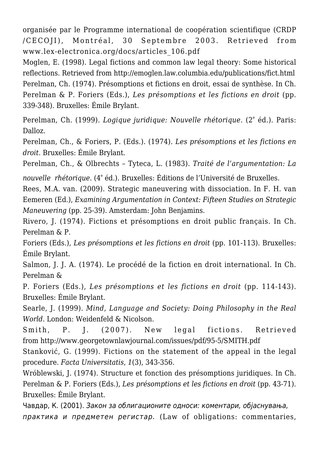organisée par le Programme international de coopération scientifique (CRDP /CECOJI), Montréal, 30 Septembre 2003. Retrieved from www.lex-electronica.org/docs/articles\_106.pdf

Moglen, E. (1998). Legal fictions and common law legal theory: Some historical reflections. Retrieved from http://emoglen.law.columbia.edu/publications/fict.html Perelman, Ch. (1974). Présomptions et fictions en droit, essai de synthèse. In Ch. Perelman & P. Foriers (Eds.), *Les présomptions et les fictions en droit* (pp. 339-348). Bruxelles: Émile Brylant.

Perelman, Ch. (1999). *Logique juridique: Nouvelle rhétorique*. (2<sup>e</sup> éd.). Paris: Dalloz.

Perelman, Ch., & Foriers, P. (Eds.). (1974). *Les présomptions et les fictions en droit*. Bruxelles: Émile Brylant.

Perelman, Ch., & Olbrechts – Tyteca, L. (1983). *Traité de l'argumentation: La*

*nouvelle rhétorique.* (4<sup>e</sup> éd.). Bruxelles: Éditions de l'Université de Bruxelles.

Rees, M.A. van. (2009). Strategic maneuvering with dissociation. In F. H. van Eemeren (Ed.), *Examining Argumentation in Context: Fifteen Studies on Strategic Maneuvering* (pp. 25-39). Amsterdam: John Benjamins.

Rivero, J. (1974). Fictions et présomptions en droit public français. In Ch. Perelman & P.

Foriers (Eds.), *Les présomptions et les fictions en droit* (pp. 101-113). Bruxelles: Émile Brylant.

Salmon, J. J. A. (1974). Le procédé de la fiction en droit international. In Ch. Perelman &

P. Foriers (Eds.), *Les présomptions et les fictions en droit* (pp. 114-143). Bruxelles: Émile Brylant.

Searle, J. (1999). *Mind, Language and Society: Doing Philosophy in the Real World.* London: Weidenfeld & Nicolson.

Smith, P. J. (2007). New legal fictions. Retrieved from http://www.georgetownlawjournal.com/issues/pdf/95-5/SMITH.pdf

Stanković, G. (1999). Fictions on the statement of the appeal in the legal procedure. *Facta Universitatis*, *1*(3), 343-356.

Wróblewski, J. (1974). Structure et fonction des présomptions juridiques. In Ch. Perelman & P. Foriers (Eds.), *Les présomptions et les fictions en droit* (pp. 43-71). Bruxelles: Émile Brylant.

Чавдар, К. (2001). Закон за облигационите односи: коментари, објаснувања, практика и предметен регистар. (Law of obligations: commentaries,